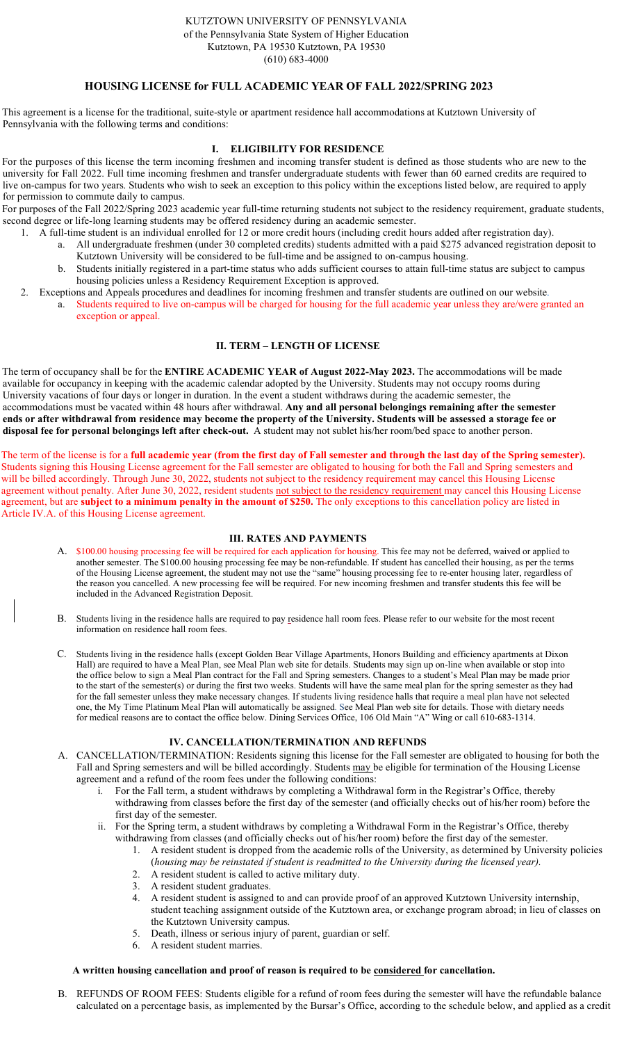# HOUSING LICENSE for FULL ACADEMIC YEAR OF FALL 2022/SPRING 2023

This agreement is a license for the traditional, suite-style or apartment residence hall accommodations at Kutztown University of Pennsylvania with the following terms and conditions:

## I. ELIGIBILITY FOR RESIDENCE

For the purposes of this license the term incoming freshmen and incoming transfer student is defined as those students who are new to the university for Fall 2022. Full time incoming freshmen and transfer undergraduate students with fewer than 60 earned credits are required to live on-campus for two years. Students who wish to seek an exception to this policy within the exceptions listed below, are required to apply for permission to commute daily to campus.

For purposes of the Fall 2022/Spring 2023 academic year full-time returning students not subject to the residency requirement, graduate students, second degree or life-long learning students may be offered residency during an academic semester.

- 1. A full-time student is an individual enrolled for 12 or more credit hours (including credit hours added after registration day).
	- a. All undergraduate freshmen (under 30 completed credits) students admitted with a paid \$275 advanced registration deposit to Kutztown University will be considered to be full-time and be assigned to on-campus housing.
	- b. Students initially registered in a part-time status who adds sufficient courses to attain full-time status are subject to campus housing policies unless a Residency Requirement Exception is approved.
- 2. Exceptions and Appeals procedures and deadlines for incoming freshmen and transfer students are outlined on our website.
	- a. Students required to live on-campus will be charged for housing for the full academic year unless they are/were granted an exception or appeal.

# II. TERM – LENGTH OF LICENSE

The term of occupancy shall be for the ENTIRE ACADEMIC YEAR of August 2022-May 2023. The accommodations will be made available for occupancy in keeping with the academic calendar adopted by the University. Students may not occupy rooms during University vacations of four days or longer in duration. In the event a student withdraws during the academic semester, the accommodations must be vacated within 48 hours after withdrawal. Any and all personal belongings remaining after the semester ends or after withdrawal from residence may become the property of the University. Students will be assessed a storage fee or disposal fee for personal belongings left after check-out. A student may not sublet his/her room/bed space to another person.

The term of the license is for a full academic year (from the first day of Fall semester and through the last day of the Spring semester). Students signing this Housing License agreement for the Fall semester are obligated to housing for both the Fall and Spring semesters and will be billed accordingly. Through June 30, 2022, students not subject to the residency requirement may cancel this Housing License agreement without penalty. After June 30, 2022, resident students not subject to the residency requirement may cancel this Housing License agreement, but are subject to a minimum penalty in the amount of \$250. The only exceptions to this cancellation policy are listed in Article IV.A. of this Housing License agreement.

### III. RATES AND PAYMENTS

- A. \$100.00 housing processing fee will be required for each application for housing. This fee may not be deferred, waived or applied to another semester. The \$100.00 housing processing fee may be non-refundable. If student has cancelled their housing, as per the terms of the Housing License agreement, the student may not use the "same" housing processing fee to re-enter housing later, regardless of the reason you cancelled. A new processing fee will be required. For new incoming freshmen and transfer students this fee will be included in the Advanced Registration Deposit.
- B. Students living in the residence halls are required to pay residence hall room fees. Please refer to our website for the most recent information on residence hall room fees.
- C. Students living in the residence halls (except Golden Bear Village Apartments, Honors Building and efficiency apartments at Dixon Hall) are required to have a Meal Plan, see Meal Plan web site for details. Students may sign up on-line when available or stop into the office below to sign a Meal Plan contract for the Fall and Spring semesters. Changes to a student's Meal Plan may be made prior to the start of the semester(s) or during the first two weeks. Students will have the same meal plan for the spring semester as they had for the fall semester unless they make necessary changes. If students living residence halls that require a meal plan have not selected one, the My Time Platinum Meal Plan will automatically be assigned. See Meal Plan web site for details. Those with dietary needs for medical reasons are to contact the office below. Dining Services Office, 106 Old Main "A" Wing or call 610-683-1314.

### IV. CANCELLATION/TERMINATION AND REFUNDS

- A. CANCELLATION/TERMINATION: Residents signing this license for the Fall semester are obligated to housing for both the Fall and Spring semesters and will be billed accordingly. Students may be eligible for termination of the Housing License agreement and a refund of the room fees under the following conditions:
	- i. For the Fall term, a student withdraws by completing a Withdrawal form in the Registrar's Office, thereby withdrawing from classes before the first day of the semester (and officially checks out of his/her room) before the first day of the semester.
	- ii. For the Spring term, a student withdraws by completing a Withdrawal Form in the Registrar's Office, thereby withdrawing from classes (and officially checks out of his/her room) before the first day of the semester.
		- 1. A resident student is dropped from the academic rolls of the University, as determined by University policies (housing may be reinstated if student is readmitted to the University during the licensed year).
		- 2. A resident student is called to active military duty.
		- 3. A resident student graduates.
		- 4. A resident student is assigned to and can provide proof of an approved Kutztown University internship, student teaching assignment outside of the Kutztown area, or exchange program abroad; in lieu of classes on the Kutztown University campus.
		- 5. Death, illness or serious injury of parent, guardian or self.
		- 6. A resident student marries.

### A written housing cancellation and proof of reason is required to be considered for cancellation.

B. REFUNDS OF ROOM FEES: Students eligible for a refund of room fees during the semester will have the refundable balance calculated on a percentage basis, as implemented by the Bursar's Office, according to the schedule below, and applied as a credit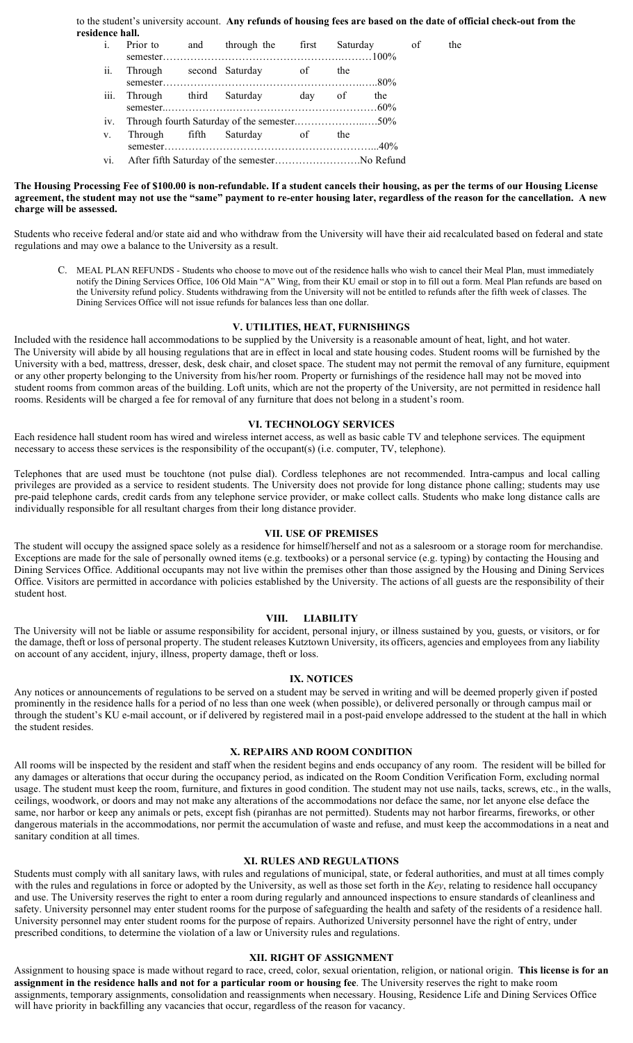to the student's university account. Any refunds of housing fees are based on the date of official check-out from the residence hall.

| $\mathbf{i}$ . |                                                |  | Prior to and through the first         |  |  | Saturday of | the |
|----------------|------------------------------------------------|--|----------------------------------------|--|--|-------------|-----|
| ii.            |                                                |  | Through second Saturday of the         |  |  |             |     |
|                |                                                |  | iii. Through third Saturday day of the |  |  |             |     |
|                | iv. Through fourth Saturday of the semester50% |  |                                        |  |  |             |     |
| V.             |                                                |  | Through fifth Saturday of the          |  |  |             |     |
|                |                                                |  |                                        |  |  |             |     |
|                |                                                |  |                                        |  |  |             |     |

#### The Housing Processing Fee of \$100.00 is non-refundable. If a student cancels their housing, as per the terms of our Housing License agreement, the student may not use the "same" payment to re-enter housing later, regardless of the reason for the cancellation. A new charge will be assessed.

Students who receive federal and/or state aid and who withdraw from the University will have their aid recalculated based on federal and state regulations and may owe a balance to the University as a result.

C. MEAL PLAN REFUNDS - Students who choose to move out of the residence halls who wish to cancel their Meal Plan, must immediately notify the Dining Services Office, 106 Old Main "A" Wing, from their KU email or stop in to fill out a form. Meal Plan refunds are based on the University refund policy. Students withdrawing from the University will not be entitled to refunds after the fifth week of classes. The Dining Services Office will not issue refunds for balances less than one dollar.

## V. UTILITIES, HEAT, FURNISHINGS

Included with the residence hall accommodations to be supplied by the University is a reasonable amount of heat, light, and hot water. The University will abide by all housing regulations that are in effect in local and state housing codes. Student rooms will be furnished by the University with a bed, mattress, dresser, desk, desk chair, and closet space. The student may not permit the removal of any furniture, equipment or any other property belonging to the University from his/her room. Property or furnishings of the residence hall may not be moved into student rooms from common areas of the building. Loft units, which are not the property of the University, are not permitted in residence hall rooms. Residents will be charged a fee for removal of any furniture that does not belong in a student's room.

# VI. TECHNOLOGY SERVICES

Each residence hall student room has wired and wireless internet access, as well as basic cable TV and telephone services. The equipment necessary to access these services is the responsibility of the occupant(s) (i.e. computer, TV, telephone).

Telephones that are used must be touchtone (not pulse dial). Cordless telephones are not recommended. Intra-campus and local calling privileges are provided as a service to resident students. The University does not provide for long distance phone calling; students may use pre-paid telephone cards, credit cards from any telephone service provider, or make collect calls. Students who make long distance calls are individually responsible for all resultant charges from their long distance provider.

### VII. USE OF PREMISES

The student will occupy the assigned space solely as a residence for himself/herself and not as a salesroom or a storage room for merchandise. Exceptions are made for the sale of personally owned items (e.g. textbooks) or a personal service (e.g. typing) by contacting the Housing and Dining Services Office. Additional occupants may not live within the premises other than those assigned by the Housing and Dining Services Office. Visitors are permitted in accordance with policies established by the University. The actions of all guests are the responsibility of their student host.

### VIII. LIABILITY

The University will not be liable or assume responsibility for accident, personal injury, or illness sustained by you, guests, or visitors, or for the damage, theft or loss of personal property. The student releases Kutztown University, its officers, agencies and employees from any liability on account of any accident, injury, illness, property damage, theft or loss.

### IX. NOTICES

Any notices or announcements of regulations to be served on a student may be served in writing and will be deemed properly given if posted prominently in the residence halls for a period of no less than one week (when possible), or delivered personally or through campus mail or through the student's KU e-mail account, or if delivered by registered mail in a post-paid envelope addressed to the student at the hall in which the student resides.

### X. REPAIRS AND ROOM CONDITION

All rooms will be inspected by the resident and staff when the resident begins and ends occupancy of any room. The resident will be billed for any damages or alterations that occur during the occupancy period, as indicated on the Room Condition Verification Form, excluding normal usage. The student must keep the room, furniture, and fixtures in good condition. The student may not use nails, tacks, screws, etc., in the walls, ceilings, woodwork, or doors and may not make any alterations of the accommodations nor deface the same, nor let anyone else deface the same, nor harbor or keep any animals or pets, except fish (piranhas are not permitted). Students may not harbor firearms, fireworks, or other dangerous materials in the accommodations, nor permit the accumulation of waste and refuse, and must keep the accommodations in a neat and sanitary condition at all times.

### XI. RULES AND REGULATIONS

Students must comply with all sanitary laws, with rules and regulations of municipal, state, or federal authorities, and must at all times comply with the rules and regulations in force or adopted by the University, as well as those set forth in the Key, relating to residence hall occupancy and use. The University reserves the right to enter a room during regularly and announced inspections to ensure standards of cleanliness and safety. University personnel may enter student rooms for the purpose of safeguarding the health and safety of the residents of a residence hall. University personnel may enter student rooms for the purpose of repairs. Authorized University personnel have the right of entry, under prescribed conditions, to determine the violation of a law or University rules and regulations.

# XII. RIGHT OF ASSIGNMENT

Assignment to housing space is made without regard to race, creed, color, sexual orientation, religion, or national origin. This license is for an assignment in the residence halls and not for a particular room or housing fee. The University reserves the right to make room assignments, temporary assignments, consolidation and reassignments when necessary. Housing, Residence Life and Dining Services Office will have priority in backfilling any vacancies that occur, regardless of the reason for vacancy.